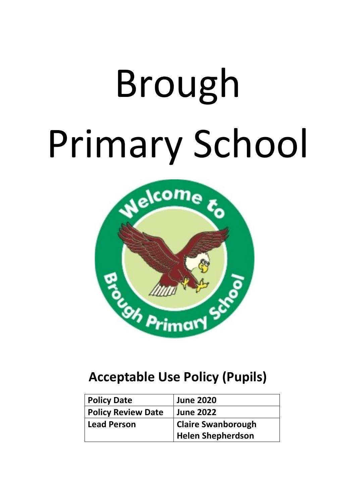# Brough Primary School



# **Acceptable Use Policy (Pupils)**

| <b>Policy Date</b>        | <b>June 2020</b>          |
|---------------------------|---------------------------|
| <b>Policy Review Date</b> | <b>June 2022</b>          |
| <b>Lead Person</b>        | <b>Claire Swanborough</b> |
|                           | <b>Helen Shepherdson</b>  |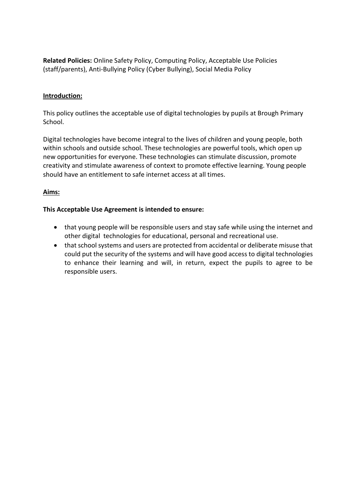**Related Policies:** Online Safety Policy, Computing Policy, Acceptable Use Policies (staff/parents), Anti-Bullying Policy (Cyber Bullying), Social Media Policy

#### **Introduction:**

This policy outlines the acceptable use of digital technologies by pupils at Brough Primary School.

Digital technologies have become integral to the lives of children and young people, both within schools and outside school. These technologies are powerful tools, which open up new opportunities for everyone. These technologies can stimulate discussion, promote creativity and stimulate awareness of context to promote effective learning. Young people should have an entitlement to safe internet access at all times.

## **Aims:**

#### **This Acceptable Use Agreement is intended to ensure:**

- that young people will be responsible users and stay safe while using the internet and other digital technologies for educational, personal and recreational use.
- that school systems and users are protected from accidental or deliberate misuse that could put the security of the systems and will have good access to digital technologies to enhance their learning and will, in return, expect the pupils to agree to be responsible users.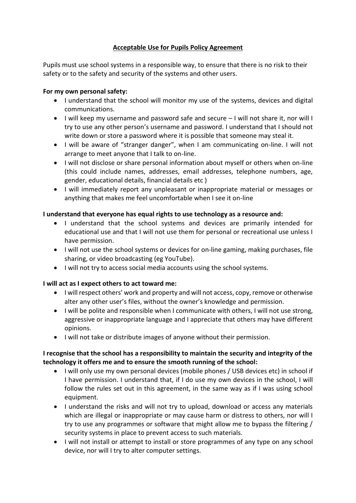# **Acceptable Use for Pupils Policy Agreement**

Pupils must use school systems in a responsible way, to ensure that there is no risk to their safety or to the safety and security of the systems and other users.

## **For my own personal safety:**

- I understand that the school will monitor my use of the systems, devices and digital communications.
- I will keep my username and password safe and secure I will not share it, nor will I try to use any other person's username and password. I understand that I should not write down or store a password where it is possible that someone may steal it.
- I will be aware of "stranger danger", when I am communicating on-line. I will not arrange to meet anyone that I talk to on-line.
- I will not disclose or share personal information about myself or others when on-line (this could include names, addresses, email addresses, telephone numbers, age, gender, educational details, financial details etc )
- I will immediately report any unpleasant or inappropriate material or messages or anything that makes me feel uncomfortable when I see it on-line

## **I understand that everyone has equal rights to use technology as a resource and:**

- I understand that the school systems and devices are primarily intended for educational use and that I will not use them for personal or recreational use unless I have permission.
- I will not use the school systems or devices for on-line gaming, making purchases, file sharing, or video broadcasting (eg YouTube).
- I will not try to access social media accounts using the school systems.

## **I will act as I expect others to act toward me:**

- I will respect others' work and property and will not access, copy, remove or otherwise alter any other user's files, without the owner's knowledge and permission.
- I will be polite and responsible when I communicate with others, I will not use strong, aggressive or inappropriate language and I appreciate that others may have different opinions.
- I will not take or distribute images of anyone without their permission.

## **I recognise that the school has a responsibility to maintain the security and integrity of the technology it offers me and to ensure the smooth running of the school:**

- I will only use my own personal devices (mobile phones / USB devices etc) in school if I have permission. I understand that, if I do use my own devices in the school, I will follow the rules set out in this agreement, in the same way as if I was using school equipment.
- I understand the risks and will not try to upload, download or access any materials which are illegal or inappropriate or may cause harm or distress to others, nor will I try to use any programmes or software that might allow me to bypass the filtering / security systems in place to prevent access to such materials.
- I will not install or attempt to install or store programmes of any type on any school device, nor will I try to alter computer settings.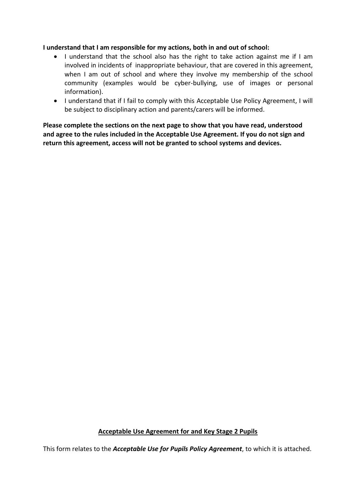#### **I understand that I am responsible for my actions, both in and out of school:**

- I understand that the school also has the right to take action against me if I am involved in incidents of inappropriate behaviour, that are covered in this agreement, when I am out of school and where they involve my membership of the school community (examples would be cyber-bullying, use of images or personal information).
- I understand that if I fail to comply with this Acceptable Use Policy Agreement, I will be subject to disciplinary action and parents/carers will be informed.

**Please complete the sections on the next page to show that you have read, understood and agree to the rules included in the Acceptable Use Agreement. If you do not sign and return this agreement, access will not be granted to school systems and devices.**

## **Acceptable Use Agreement for and Key Stage 2 Pupils**

This form relates to the *Acceptable Use for Pupils Policy Agreement*, to which it is attached.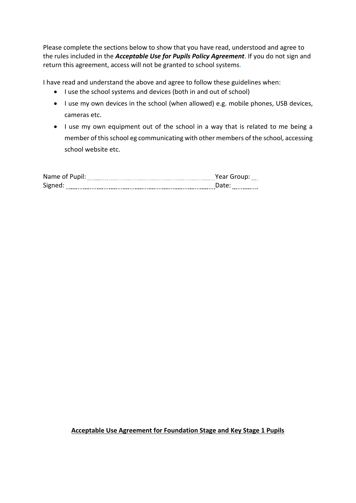Please complete the sections below to show that you have read, understood and agree to the rules included in the *Acceptable Use for Pupils Policy Agreement*. If you do not sign and return this agreement, access will not be granted to school systems.

I have read and understand the above and agree to follow these guidelines when:

- I use the school systems and devices (both in and out of school)
- I use my own devices in the school (when allowed) e.g. mobile phones, USB devices, cameras etc.
- I use my own equipment out of the school in a way that is related to me being a member of this school eg communicating with other members of the school, accessing school website etc.

| Name of Pupil: | Year Group:    |
|----------------|----------------|
|                | ----           |
| Signed:        | -------------- |

## **Acceptable Use Agreement for Foundation Stage and Key Stage 1 Pupils**